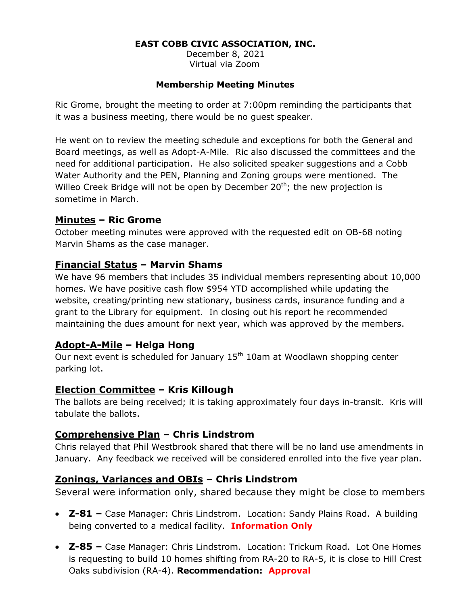#### **EAST COBB CIVIC ASSOCIATION, INC.**

December 8, 2021 Virtual via Zoom

#### **Membership Meeting Minutes**

Ric Grome, brought the meeting to order at 7:00pm reminding the participants that it was a business meeting, there would be no guest speaker.

He went on to review the meeting schedule and exceptions for both the General and Board meetings, as well as Adopt-A-Mile. Ric also discussed the committees and the need for additional participation. He also solicited speaker suggestions and a Cobb Water Authority and the PEN, Planning and Zoning groups were mentioned. The Willeo Creek Bridge will not be open by December  $20<sup>th</sup>$ ; the new projection is sometime in March.

#### **Minutes – Ric Grome**

October meeting minutes were approved with the requested edit on OB-68 noting Marvin Shams as the case manager.

### **Financial Status – Marvin Shams**

We have 96 members that includes 35 individual members representing about 10,000 homes. We have positive cash flow \$954 YTD accomplished while updating the website, creating/printing new stationary, business cards, insurance funding and a grant to the Library for equipment. In closing out his report he recommended maintaining the dues amount for next year, which was approved by the members.

# **Adopt-A-Mile – Helga Hong**

Our next event is scheduled for January  $15<sup>th</sup> 10$ am at Woodlawn shopping center parking lot.

#### **Election Committee – Kris Killough**

The ballots are being received; it is taking approximately four days in-transit. Kris will tabulate the ballots.

# **Comprehensive Plan – Chris Lindstrom**

Chris relayed that Phil Westbrook shared that there will be no land use amendments in January. Any feedback we received will be considered enrolled into the five year plan.

# **Zonings, Variances and OBIs – Chris Lindstrom**

Several were information only, shared because they might be close to members

- **Z-81 –** Case Manager: Chris Lindstrom. Location: Sandy Plains Road. A building being converted to a medical facility. **Information Only**
- **Z-85 –** Case Manager: Chris Lindstrom. Location: Trickum Road. Lot One Homes is requesting to build 10 homes shifting from RA-20 to RA-5, it is close to Hill Crest Oaks subdivision (RA-4). **Recommendation: Approval**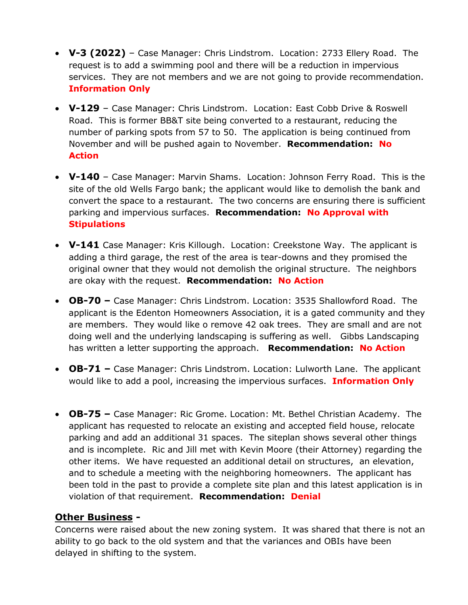- **V-3 (2022)**  Case Manager: Chris Lindstrom. Location: 2733 Ellery Road. The request is to add a swimming pool and there will be a reduction in impervious services. They are not members and we are not going to provide recommendation. **Information Only**
- **V-129** Case Manager: Chris Lindstrom. Location: East Cobb Drive & Roswell Road. This is former BB&T site being converted to a restaurant, reducing the number of parking spots from 57 to 50. The application is being continued from November and will be pushed again to November. **Recommendation: No Action**
- **V-140** Case Manager: Marvin Shams. Location: Johnson Ferry Road. This is the site of the old Wells Fargo bank; the applicant would like to demolish the bank and convert the space to a restaurant. The two concerns are ensuring there is sufficient parking and impervious surfaces. **Recommendation: No Approval with Stipulations**
- **V-141** Case Manager: Kris Killough. Location: Creekstone Way. The applicant is adding a third garage, the rest of the area is tear-downs and they promised the original owner that they would not demolish the original structure. The neighbors are okay with the request. **Recommendation: No Action**
- **OB-70 –** Case Manager: Chris Lindstrom. Location: 3535 Shallowford Road. The applicant is the Edenton Homeowners Association, it is a gated community and they are members. They would like o remove 42 oak trees. They are small and are not doing well and the underlying landscaping is suffering as well. Gibbs Landscaping has written a letter supporting the approach. **Recommendation: No Action**
- **OB-71 –** Case Manager: Chris Lindstrom. Location: Lulworth Lane. The applicant would like to add a pool, increasing the impervious surfaces. **Information Only**
- **OB-75 –** Case Manager: Ric Grome. Location: Mt. Bethel Christian Academy. The applicant has requested to relocate an existing and accepted field house, relocate parking and add an additional 31 spaces. The siteplan shows several other things and is incomplete. Ric and Jill met with Kevin Moore (their Attorney) regarding the other items. We have requested an additional detail on structures, an elevation, and to schedule a meeting with the neighboring homeowners. The applicant has been told in the past to provide a complete site plan and this latest application is in violation of that requirement. **Recommendation: Denial**

# **Other Business -**

Concerns were raised about the new zoning system. It was shared that there is not an ability to go back to the old system and that the variances and OBIs have been delayed in shifting to the system.